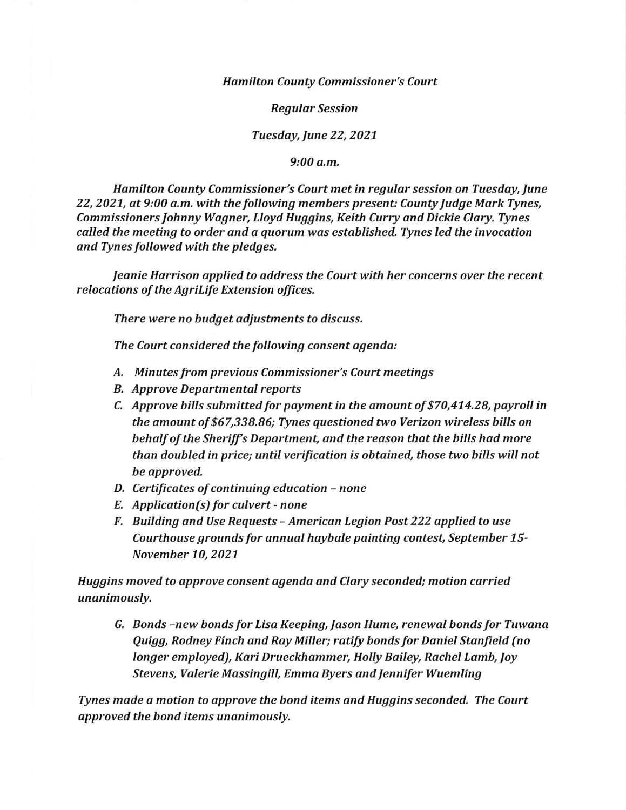Hamilton County Commissioner's Court

Regular Session

Tuesday, June 22, 2021

9:00 a.m,

Hamilton County Commissioner's Court met in regular session on Tuesday, June 22, 2021, at 9:00 a.m. with the following members present: County Judge Mark Tynes, Commissioners Johnny Wagner, Lloyd Huggins, Keith Curry and Dickie Clary. Tynes called the meeting to order and a quorum was established. Tynes led the invocation and Tynes followed with the pledges.

Jeanie Harrison applied to address the Court with her concerns over the recent relocations of the Agrilife Extension offices.

There were no budget adjustments to discuss.

The Court considered the following consent agenda:

- A. Minutes from previous Commissioner's Court meetings
- B. Approve Departmental reports
- C, Approve bills submitted for payment in the amount of \$70,474.28, payroll in the amount of \$57,338.86; Tynes questioned two Verizon wireless bills on behalf of the Sheriff's Department, and the reason that the bills had more than doubled in price; until verification is obtained, those two bills wiII not be approved.
- D. Certificates of continuing education none
- E. Application(s) for culvert none
- F. Building and Use Requests American Legion Post 222 applied to use Courthouse grounds for annual haybale painting contest, September 15- November 10, 2021

Huggins moved to approve consent agenda and Clary seconded; motion carried unanimously,

G, Bonds -new bonds for Lisa Keeping, Jason Hume, renewal bonds for Tuwanq Quigg, Rodney Finch and Ray MiIIer; rotify bonds for Daniel Stanfield (no longer employed), Kari Drueckhammer, Holly Bailey, Rachel Lamb, Joy Stevens, Valerie Massingill, Emma Byers and Jennifer Wuemling

Tynes made a motion to approve the bond items and Huggins seconded. The Court approved the bond items unanimously.